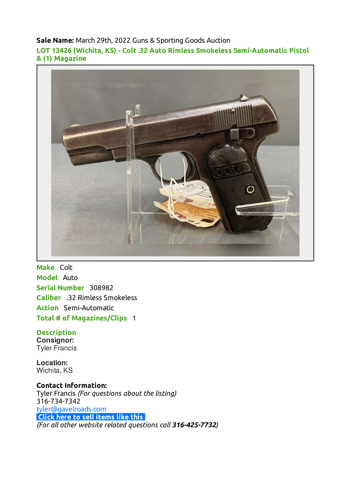#### **Sale Name:** March 29th, 2022 Guns & Sporting Goods Auction

**LOT 13426 (Wichita, KS) - Colt .32 Auto Rimless Smokeless Semi-Automatic Pistol & (1) Magazine**



**Make** Colt **Model** Auto **Serial Number** 308982 **Caliber** .32 Rimless Smokeless **Action** Semi-Automatic **Total # of Magazines/Clips** 1

# **Description Consignor:**

Tyler Francis

**Location:** Wichita, KS

**Contact Information:** Tyler Francis *(For questions about the listing)* 316-734-7342 [tyler@gavelroads.com](mailto:tyler@gavelroads.com) **[Click here to sell items like this](https://www.gavelroads.com/contact-us)** *(For all other website related questions call 316-425-7732)*